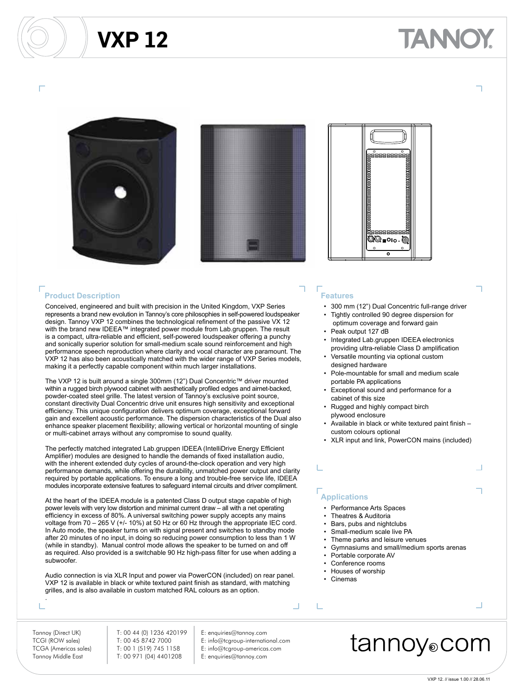## **VXP 12**







ANNO

### **Product Description**

Conceived, engineered and built with precision in the United Kingdom, VXP Series represents a brand new evolution in Tannoy's core philosophies in self-powered loudspeaker design. Tannoy VXP 12 combines the technological refinement of the passive VX 12 with the brand new IDEEA™ integrated power module from Lab.gruppen. The result is a compact, ultra-reliable and efficient, self-powered loudspeaker offering a punchy and sonically superior solution for small-medium scale sound reinforcement and high performance speech reproduction where clarity and vocal character are paramount. The VXP 12 has also been acoustically matched with the wider range of VXP Series models, making it a perfectly capable component within much larger installations.

The VXP 12 is built around a single 300mm (12") Dual Concentric™ driver mounted within a rugged birch plywood cabinet with aesthetically profiled edges and airnet-backed, powder-coated steel grille. The latest version of Tannoy's exclusive point source, constant directivity Dual Concentric drive unit ensures high sensitivity and exceptional efficiency. This unique configuration delivers optimum coverage, exceptional forward gain and excellent acoustic performance. The dispersion characteristics of the Dual also enhance speaker placement flexibility; allowing vertical or horizontal mounting of single or multi-cabinet arrays without any compromise to sound quality.

The perfectly matched integrated Lab.gruppen IDEEA (IntelliDrive Energy Efficient Amplifier) modules are designed to handle the demands of fixed installation audio, with the inherent extended duty cycles of around-the-clock operation and very high performance demands, while offering the durability, unmatched power output and clarity required by portable applications. To ensure a long and trouble-free service life, IDEEA modules incorporate extensive features to safeguard internal circuits and driver compliment.

At the heart of the IDEEA module is a patented Class D output stage capable of high power levels with very low distortion and minimal current draw – all with a net operating efficiency in excess of 80%. A universal switching power supply accepts any mains voltage from 70 – 265 V (+/- 10%) at 50 Hz or 60 Hz through the appropriate IEC cord. In Auto mode, the speaker turns on with signal present and switches to standby mode after 20 minutes of no input, in doing so reducing power consumption to less than 1 W (while in standby). Manual control mode allows the speaker to be turned on and off as required. Also provided is a switchable 90 Hz high-pass filter for use when adding a subwoofer.

Audio connection is via XLR Input and power via PowerCON (included) on rear panel. VXP 12 is available in black or white textured paint finish as standard, with matching grilles, and is also available in custom matched RAL colours as an option.

## **Features**

- 300 mm (12") Dual Concentric full-range driver
- Tightly controlled 90 degree dispersion for optimum coverage and forward gain
- Peak output 127 dB • Integrated Lab.gruppen IDEEA electronics
- providing ultra-reliable Class D amplification
- Versatile mounting via optional custom designed hardware
- Pole-mountable for small and medium scale portable PA applications
- Exceptional sound and performance for a cabinet of this size
- Rugged and highly compact birch plywood enclosure
- Available in black or white textured paint finish custom colours optional
- XLR input and link, PowerCON mains (included)

## **Applications**

- Performance Arts Spaces
- Theatres & Auditoria
- Bars, pubs and nightclubs
- Small-medium scale live PA
- Theme parks and leisure venues
- Gymnasiums and small/medium sports arenas
- Portable corporate AV
- Conference rooms • Houses of worship
- 
- Cinemas

L

.

TCGI (ROW sales) T: 00 45 8742 7000 E: info@tcgroup-international.com TCGA (Americas sales) T: 00 1 (519) 745 1158 E: info@tcgroup-americas.com Tannoy Middle East T: 00 971 (04) 4401208 E: enquiries@tannoy.com

Tannoy (Direct UK) T: 00 44 (0) 1236 420199 E: enquiries@tannoy.com

- 
- 

## tannoy⊚com

Ц